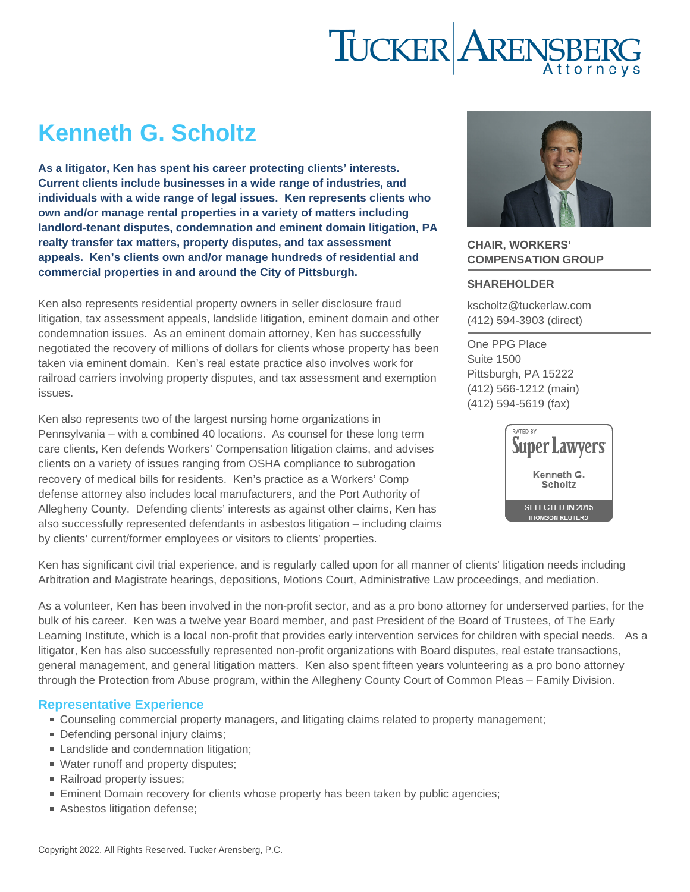# Kenneth G. Scholtz

As a litigator, Ken has spent his career protecting clients' interests. Current clients include businesses in a wide range of industries, and individuals with a wide range of legal issues. Ken represents clients who own and/or manage rental properties in a variety of matters including landlord-tenant disputes, condemnation and eminent domain litigation, PA realty transfer tax matters, property disputes, and tax assessment appeals. Ken's clients own and/or manage hundreds of residential and commercial properties in and around the City of Pittsburgh.

Ken also represents residential property owners in seller disclosure fraud litigation, tax assessment appeals, landslide litigation, eminent domain and other condemnation issues. As an eminent domain attorney, Ken has successfully negotiated the recovery of millions of dollars for clients whose property has been taken via eminent domain. Ken's real estate practice also involves work for railroad carriers involving property disputes, and tax assessment and exemption issues.

Ken also represents two of the largest nursing home organizations in Pennsylvania – with a combined 40 locations. As counsel for these long term care clients, Ken defends Workers' Compensation litigation claims, and advises clients on a variety of issues ranging from OSHA compliance to subrogation recovery of medical bills for residents. Ken's practice as a Workers' Comp defense attorney also includes local manufacturers, and the Port Authority of Allegheny County. Defending clients' interests as against other claims, Ken has also successfully represented defendants in asbestos litigation – including claims by clients' current/former employees or visitors to clients' properties.

## CHAIR, WORKERS' COMPENSATION GROUP

#### SHAREHOLDER

[kscholtz@tuckerlaw.com](mailto:kscholtz@tuckerlaw.com) [\(412\) 594-3903](tel:4125943903) [\(direct\)](tel:4125943903)

[One PPG Place](https://www.tuckerlaw.com/office/pittsburgh/) [Suite 1500](https://www.tuckerlaw.com/office/pittsburgh/) [Pittsburgh, PA](https://www.tuckerlaw.com/office/pittsburgh/) [15222](https://www.tuckerlaw.com/office/pittsburgh/) [\(412\) 566-1212](tel:4125661212) [\(main\)](tel:4125661212) [\(412\) 594-5619](tel:4125945619) [\(fax\)](tel:4125945619)

Ken has significant civil trial experience, and is regularly called upon for all manner of clients' litigation needs including Arbitration and Magistrate hearings, depositions, Motions Court, Administrative Law proceedings, and mediation.

As a volunteer, Ken has been involved in the non-profit sector, and as a pro bono attorney for underserved parties, for the bulk of his career. Ken was a twelve year Board member, and past President of the Board of Trustees, of The Early Learning Institute, which is a local non-profit that provides early intervention services for children with special needs. As a litigator, Ken has also successfully represented non-profit organizations with Board disputes, real estate transactions, general management, and general litigation matters. Ken also spent fifteen years volunteering as a pro bono attorney through the Protection from Abuse program, within the Allegheny County Court of Common Pleas – Family Division.

### Representative Experience

- Counseling commercial property managers, and litigating claims related to property management;
- Defending personal injury claims;
- Landslide and condemnation litigation;
- Water runoff and property disputes;
- Railroad property issues;
- **Eminent Domain recovery for clients whose property has been taken by public agencies;**
- Asbestos litigation defense;